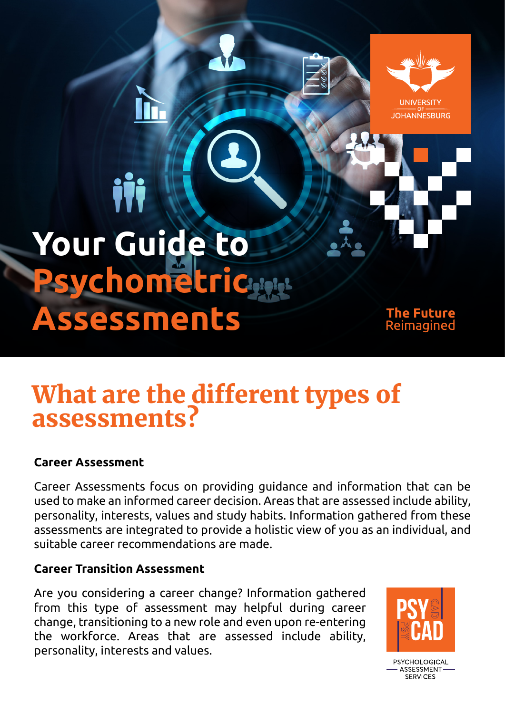**Your Guide to Psychomet Assessments**

iİi

Future Reimagined

**UNIVERSITY IOHANNESBURG** 

# What are the different types of assessments?

## **Career Assessment**

Career Assessments focus on providing guidance and information that can be used to make an informed career decision. Areas that are assessed include ability, personality, interests, values and study habits. Information gathered from these assessments are integrated to provide a holistic view of you as an individual, and suitable career recommendations are made.

# **Career Transition Assessment**

Are you considering a career change? Information gathered from this type of assessment may helpful during career change, transitioning to a new role and even upon re-entering the workforce. Areas that are assessed include ability, personality, interests and values.



PSYCHOLOGICAL **ASSESSMENT** SERVICES